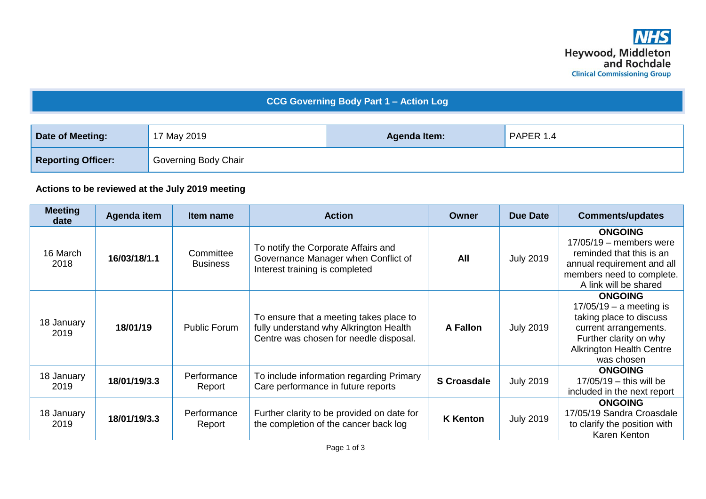## **CCG Governing Body Part 1 – Action Log**

| <b>Date of Meeting:</b>   | 17 May 2019          | <b>Agenda Item:</b> | PAPER 1.4 |  |
|---------------------------|----------------------|---------------------|-----------|--|
| <b>Reporting Officer:</b> | Governing Body Chair |                     |           |  |

## **Actions to be reviewed at the July 2019 meeting**

| <b>Meeting</b><br>date | Agenda item  | Item name                    | <b>Action</b>                                                                                                               | <b>Owner</b>       | Due Date         | <b>Comments/updates</b>                                                                                                                                                    |
|------------------------|--------------|------------------------------|-----------------------------------------------------------------------------------------------------------------------------|--------------------|------------------|----------------------------------------------------------------------------------------------------------------------------------------------------------------------------|
| 16 March<br>2018       | 16/03/18/1.1 | Committee<br><b>Business</b> | To notify the Corporate Affairs and<br>Governance Manager when Conflict of<br>Interest training is completed                | All                | <b>July 2019</b> | <b>ONGOING</b><br>$17/05/19$ – members were<br>reminded that this is an<br>annual requirement and all<br>members need to complete.<br>A link will be shared                |
| 18 January<br>2019     | 18/01/19     | <b>Public Forum</b>          | To ensure that a meeting takes place to<br>fully understand why Alkrington Health<br>Centre was chosen for needle disposal. | A Fallon           | <b>July 2019</b> | <b>ONGOING</b><br>$17/05/19 - a$ meeting is<br>taking place to discuss<br>current arrangements.<br>Further clarity on why<br><b>Alkrington Health Centre</b><br>was chosen |
| 18 January<br>2019     | 18/01/19/3.3 | Performance<br>Report        | To include information regarding Primary<br>Care performance in future reports                                              | <b>S</b> Croasdale | <b>July 2019</b> | <b>ONGOING</b><br>$17/05/19$ - this will be<br>included in the next report                                                                                                 |
| 18 January<br>2019     | 18/01/19/3.3 | Performance<br>Report        | Further clarity to be provided on date for<br>the completion of the cancer back log                                         | <b>K</b> Kenton    | <b>July 2019</b> | <b>ONGOING</b><br>17/05/19 Sandra Croasdale<br>to clarify the position with<br>Karen Kenton                                                                                |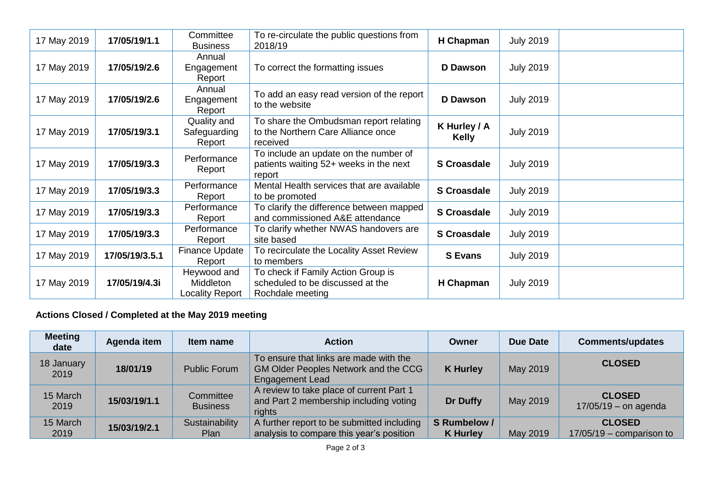| 17 May 2019 | 17/05/19/1.1   | Committee<br><b>Business</b>                | To re-circulate the public questions from<br>2018/19                                       | H Chapman                    | <b>July 2019</b> |  |
|-------------|----------------|---------------------------------------------|--------------------------------------------------------------------------------------------|------------------------------|------------------|--|
| 17 May 2019 | 17/05/19/2.6   | Annual<br>Engagement<br>Report              | To correct the formatting issues                                                           | D Dawson                     | <b>July 2019</b> |  |
| 17 May 2019 | 17/05/19/2.6   | Annual<br>Engagement<br>Report              | To add an easy read version of the report<br>to the website                                | <b>D</b> Dawson              | <b>July 2019</b> |  |
| 17 May 2019 | 17/05/19/3.1   | Quality and<br>Safeguarding<br>Report       | To share the Ombudsman report relating<br>to the Northern Care Alliance once<br>received   | K Hurley / A<br><b>Kelly</b> | <b>July 2019</b> |  |
| 17 May 2019 | 17/05/19/3.3   | Performance<br>Report                       | To include an update on the number of<br>patients waiting 52+ weeks in the next<br>report  | <b>S</b> Croasdale           | <b>July 2019</b> |  |
| 17 May 2019 | 17/05/19/3.3   | Performance<br>Report                       | Mental Health services that are available<br>to be promoted                                | <b>S</b> Croasdale           | <b>July 2019</b> |  |
| 17 May 2019 | 17/05/19/3.3   | Performance<br>Report                       | To clarify the difference between mapped<br>and commissioned A&E attendance                | <b>S</b> Croasdale           | <b>July 2019</b> |  |
| 17 May 2019 | 17/05/19/3.3   | Performance<br>Report                       | To clarify whether NWAS handovers are<br>site based                                        | <b>S</b> Croasdale           | <b>July 2019</b> |  |
| 17 May 2019 | 17/05/19/3.5.1 | Finance Update<br>Report                    | To recirculate the Locality Asset Review<br>to members                                     | <b>S</b> Evans               | <b>July 2019</b> |  |
| 17 May 2019 | 17/05/19/4.3i  | Heywood and<br>Middleton<br>Locality Report | To check if Family Action Group is<br>scheduled to be discussed at the<br>Rochdale meeting | H Chapman                    | <b>July 2019</b> |  |

## **Actions Closed / Completed at the May 2019 meeting**

| <b>Meeting</b><br>date | Agenda item  | Item name                    | <b>Action</b>                                                                                                   | Owner                           | Due Date | <b>Comments/updates</b>                     |
|------------------------|--------------|------------------------------|-----------------------------------------------------------------------------------------------------------------|---------------------------------|----------|---------------------------------------------|
| 18 January<br>2019     | 18/01/19     | <b>Public Forum</b>          | To ensure that links are made with the<br><b>GM Older Peoples Network and the CCG</b><br><b>Engagement Lead</b> | <b>K</b> Hurley                 | May 2019 | <b>CLOSED</b>                               |
| 15 March<br>2019       | 15/03/19/1.1 | Committee<br><b>Business</b> | A review to take place of current Part 1<br>and Part 2 membership including voting<br>rights                    | <b>Dr Duffy</b>                 | May 2019 | <b>CLOSED</b><br>$17/05/19$ – on agenda     |
| 15 March<br>2019       | 15/03/19/2.1 | Sustainability<br>Plan       | A further report to be submitted including<br>analysis to compare this year's position                          | S Rumbelow /<br><b>K</b> Hurley | May 2019 | <b>CLOSED</b><br>$17/05/19$ – comparison to |